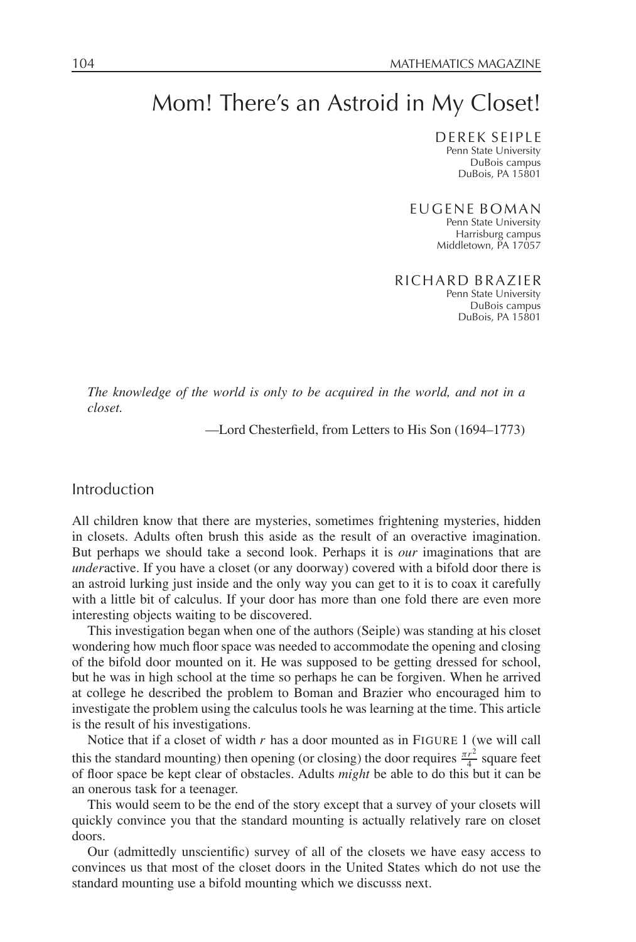# Mom! There's an Astroid in My Closet!

DEREK SEIPLE Penn State University DuBois campus DuBois, PA 15801

EUGENE BOMAN Penn State University Harrisburg campus Middletown, PA 17057

RICHARD BRAZIER Penn State University DuBois campus DuBois, PA 15801

*The knowledge of the world is only to be acquired in the world, and not in a closet.*

—Lord Chesterfield, from Letters to His Son (1694–1773)

## Introduction

All children know that there are mysteries, sometimes frightening mysteries, hidden in closets. Adults often brush this aside as the result of an overactive imagination. But perhaps we should take a second look. Perhaps it is *our* imaginations that are *under*active. If you have a closet (or any doorway) covered with a bifold door there is an astroid lurking just inside and the only way you can get to it is to coax it carefully with a little bit of calculus. If your door has more than one fold there are even more interesting objects waiting to be discovered.

This investigation began when one of the authors (Seiple) was standing at his closet wondering how much floor space was needed to accommodate the opening and closing of the bifold door mounted on it. He was supposed to be getting dressed for school, but he was in high school at the time so perhaps he can be forgiven. When he arrived at college he described the problem to Boman and Brazier who encouraged him to investigate the problem using the calculus tools he was learning at the time. This article is the result of his investigations.

Notice that if a closet of width *r* has a door mounted as in FIGURE 1 (we will call this the standard mounting) then opening (or closing) the door requires  $\frac{\pi r^2}{4}$  square feet of floor space be kept clear of obstacles. Adults *might* be able to do this but it can be an onerous task for a teenager.

This would seem to be the end of the story except that a survey of your closets will quickly convince you that the standard mounting is actually relatively rare on closet doors.

Our (admittedly unscientific) survey of all of the closets we have easy access to convinces us that most of the closet doors in the United States which do not use the standard mounting use a bifold mounting which we discusss next.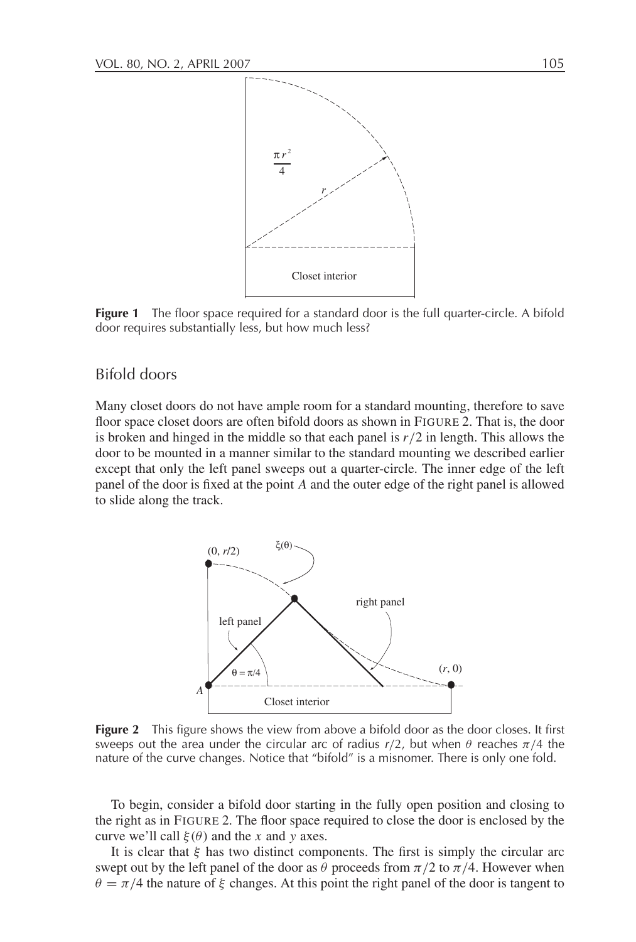

**Figure 1** The floor space required for a standard door is the full quarter-circle. A bifold door requires substantially less, but how much less?

## Bifold doors

Many closet doors do not have ample room for a standard mounting, therefore to save floor space closet doors are often bifold doors as shown in FIGURE 2. That is, the door is broken and hinged in the middle so that each panel is  $r/2$  in length. This allows the door to be mounted in a manner similar to the standard mounting we described earlier except that only the left panel sweeps out a quarter-circle. The inner edge of the left panel of the door is fixed at the point *A* and the outer edge of the right panel is allowed to slide along the track.



**Figure 2** This figure shows the view from above a bifold door as the door closes. It first sweeps out the area under the circular arc of radius  $r/2$ , but when θ reaches  $\pi/4$  the nature of the curve changes. Notice that "bifold" is a misnomer. There is only one fold.

To begin, consider a bifold door starting in the fully open position and closing to the right as in FIGURE 2. The floor space required to close the door is enclosed by the curve we'll call  $\xi(\theta)$  and the *x* and *y* axes.

It is clear that  $\xi$  has two distinct components. The first is simply the circular arc swept out by the left panel of the door as  $\theta$  proceeds from  $\pi/2$  to  $\pi/4$ . However when  $\theta = \pi/4$  the nature of  $\xi$  changes. At this point the right panel of the door is tangent to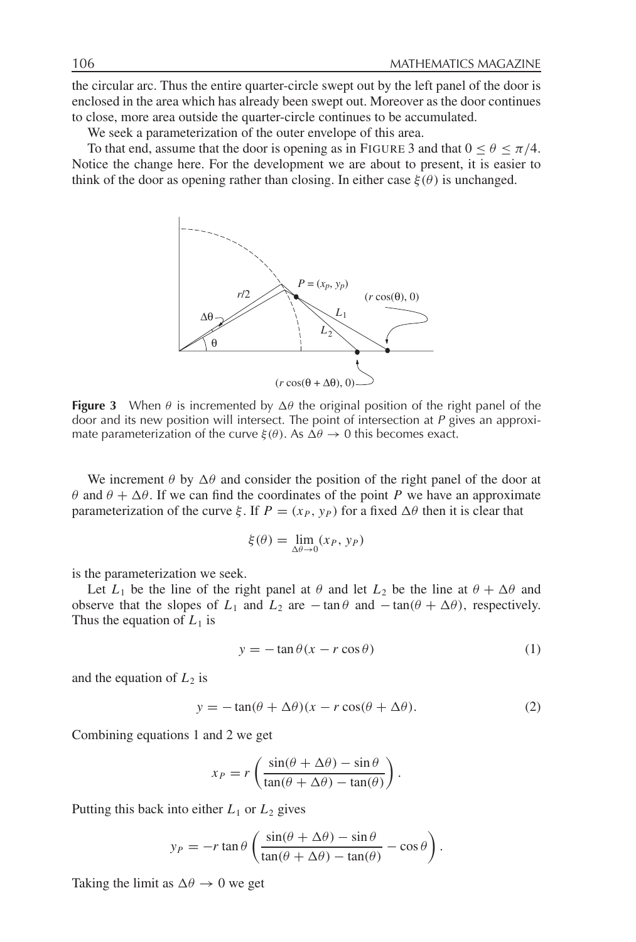the circular arc. Thus the entire quarter-circle swept out by the left panel of the door is enclosed in the area which has already been swept out. Moreover as the door continues to close, more area outside the quarter-circle continues to be accumulated.

We seek a parameterization of the outer envelope of this area.

To that end, assume that the door is opening as in FIGURE 3 and that  $0 \le \theta \le \pi/4$ . Notice the change here. For the development we are about to present, it is easier to think of the door as opening rather than closing. In either case  $\xi(\theta)$  is unchanged.



**Figure 3** When  $\theta$  is incremented by  $\Delta\theta$  the original position of the right panel of the door and its new position will intersect. The point of intersection at  $P$  gives an approximate parameterization of the curve  $\xi(\theta)$ . As  $\Delta\theta \rightarrow 0$  this becomes exact.

We increment  $\theta$  by  $\Delta\theta$  and consider the position of the right panel of the door at  $θ$  and  $θ$  + Δ $θ$ . If we can find the coordinates of the point *P* we have an approximate parameterization of the curve  $\xi$ . If  $P = (x_P, y_P)$  for a fixed  $\Delta\theta$  then it is clear that

$$
\xi(\theta) = \lim_{\Delta \theta \to 0} (x_P, y_P)
$$

is the parameterization we seek.

Let  $L_1$  be the line of the right panel at  $\theta$  and let  $L_2$  be the line at  $\theta + \Delta\theta$  and observe that the slopes of  $L_1$  and  $L_2$  are  $-\tan\theta$  and  $-\tan(\theta + \Delta\theta)$ , respectively. Thus the equation of  $L_1$  is

$$
y = -\tan\theta(x - r\cos\theta)
$$
 (1)

and the equation of  $L_2$  is

$$
y = -\tan(\theta + \Delta\theta)(x - r\cos(\theta + \Delta\theta)).
$$
\n(2)

Combining equations 1 and 2 we get

$$
x_P = r \left( \frac{\sin(\theta + \Delta\theta) - \sin \theta}{\tan(\theta + \Delta\theta) - \tan(\theta)} \right).
$$

Putting this back into either  $L_1$  or  $L_2$  gives

$$
y_P = -r \tan \theta \left( \frac{\sin(\theta + \Delta \theta) - \sin \theta}{\tan(\theta + \Delta \theta) - \tan(\theta)} - \cos \theta \right).
$$

Taking the limit as  $\Delta\theta \rightarrow 0$  we get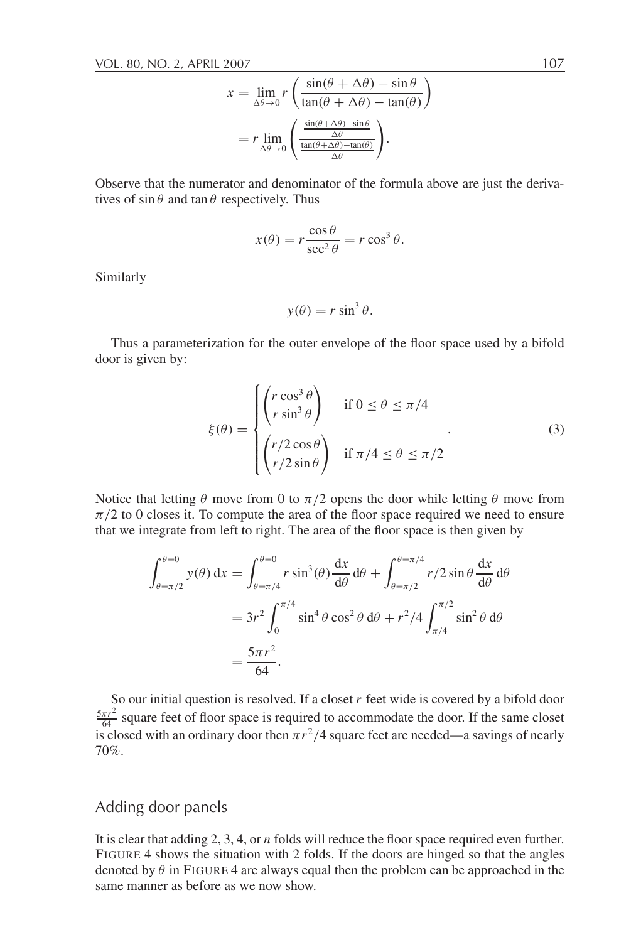$$
x = \lim_{\Delta\theta \to 0} r \left( \frac{\sin(\theta + \Delta\theta) - \sin \theta}{\tan(\theta + \Delta\theta) - \tan(\theta)} \right)
$$

$$
= r \lim_{\Delta\theta \to 0} \left( \frac{\frac{\sin(\theta + \Delta\theta) - \sin \theta}{\Delta\theta}}{\frac{\tan(\theta + \Delta\theta) - \tan(\theta)}{\Delta\theta}} \right).
$$

Observe that the numerator and denominator of the formula above are just the derivatives of  $\sin \theta$  and  $\tan \theta$  respectively. Thus

$$
x(\theta) = r \frac{\cos \theta}{\sec^2 \theta} = r \cos^3 \theta.
$$

Similarly

$$
y(\theta) = r \sin^3 \theta.
$$

Thus a parameterization for the outer envelope of the floor space used by a bifold door is given by:

$$
\xi(\theta) = \begin{cases}\n\begin{pmatrix}\nr \cos^3 \theta \\
r \sin^3 \theta\n\end{pmatrix} & \text{if } 0 \le \theta \le \pi/4 \\
\begin{pmatrix}\nr/2 \cos \theta \\
r/2 \sin \theta\n\end{pmatrix} & \text{if } \pi/4 \le \theta \le \pi/2\n\end{cases}
$$
\n(3)

Notice that letting  $\theta$  move from 0 to  $\pi/2$  opens the door while letting  $\theta$  move from  $\pi/2$  to 0 closes it. To compute the area of the floor space required we need to ensure that we integrate from left to right. The area of the floor space is then given by

$$
\int_{\theta=\pi/2}^{\theta=0} y(\theta) dx = \int_{\theta=\pi/4}^{\theta=0} r \sin^3(\theta) \frac{dx}{d\theta} d\theta + \int_{\theta=\pi/2}^{\theta=\pi/4} r/2 \sin \theta \frac{dx}{d\theta} d\theta
$$
  
= 
$$
3r^2 \int_0^{\pi/4} \sin^4 \theta \cos^2 \theta d\theta + r^2/4 \int_{\pi/4}^{\pi/2} \sin^2 \theta d\theta
$$
  
= 
$$
\frac{5\pi r^2}{64}.
$$

So our initial question is resolved. If a closet *r* feet wide is covered by a bifold door  $\frac{5\pi r^2}{64}$  square feet of floor space is required to accommodate the door. If the same closet is closed with an ordinary door then  $\pi r^2/4$  square feet are needed—a savings of nearly 70%.

# Adding door panels

It is clear that adding 2, 3, 4, or *n* folds will reduce the floor space required even further. FIGURE 4 shows the situation with 2 folds. If the doors are hinged so that the angles denoted by  $\theta$  in FIGURE 4 are always equal then the problem can be approached in the same manner as before as we now show.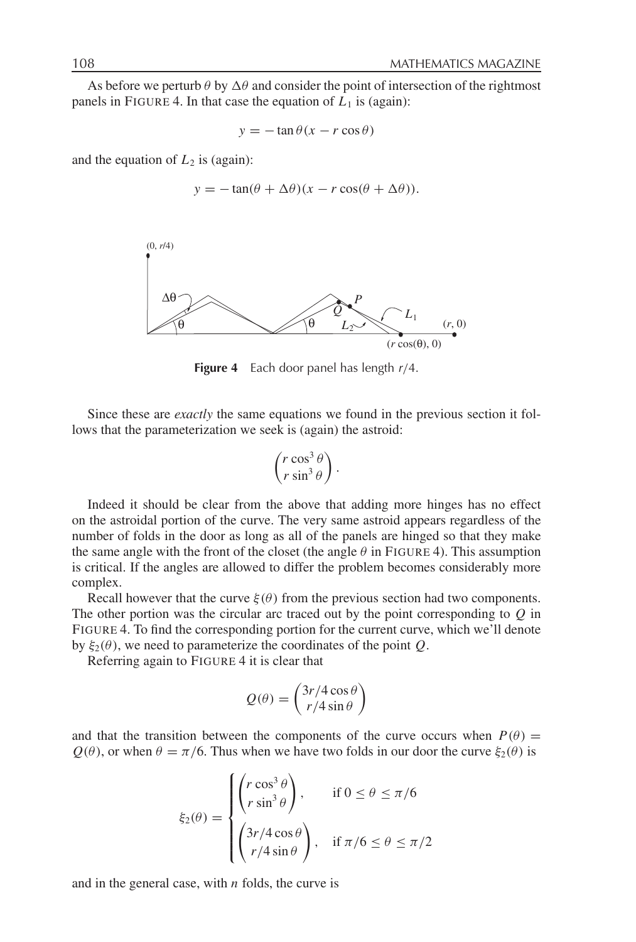As before we perturb  $\theta$  by  $\Delta\theta$  and consider the point of intersection of the rightmost panels in FIGURE 4. In that case the equation of  $L_1$  is (again):

 $y = -\tan \theta (x - r \cos \theta)$ 

and the equation of  $L_2$  is (again):

$$
y = -\tan(\theta + \Delta\theta)(x - r\cos(\theta + \Delta\theta)).
$$



**Figure 4** Each door panel has length <sup>r</sup>/4.

Since these are *exactly* the same equations we found in the previous section it follows that the parameterization we seek is (again) the astroid:

$$
\begin{pmatrix} r \cos^3 \theta \\ r \sin^3 \theta \end{pmatrix}.
$$

Indeed it should be clear from the above that adding more hinges has no effect on the astroidal portion of the curve. The very same astroid appears regardless of the number of folds in the door as long as all of the panels are hinged so that they make the same angle with the front of the closet (the angle  $\theta$  in FIGURE 4). This assumption is critical. If the angles are allowed to differ the problem becomes considerably more complex.

Recall however that the curve  $\xi(\theta)$  from the previous section had two components. The other portion was the circular arc traced out by the point corresponding to *Q* in FIGURE 4. To find the corresponding portion for the current curve, which we'll denote by  $\xi_2(\theta)$ , we need to parameterize the coordinates of the point *Q*.

Referring again to FIGURE 4 it is clear that

$$
Q(\theta) = \begin{pmatrix} 3r/4\cos\theta \\ r/4\sin\theta \end{pmatrix}
$$

and that the transition between the components of the curve occurs when  $P(\theta)$  =  $Q(\theta)$ , or when  $\theta = \pi/6$ . Thus when we have two folds in our door the curve  $\xi_2(\theta)$  is

$$
\xi_2(\theta) = \begin{cases} \left(r \cos^3 \theta \right), & \text{if } 0 \le \theta \le \pi/6\\ \left(\frac{3r}{4} \cos \theta \right), & \text{if } \pi/6 \le \theta \le \pi/2\\ \left(\frac{r}{4} \sin \theta \right), & \text{if } \pi/6 \le \theta \le \pi/2 \end{cases}
$$

and in the general case, with *n* folds, the curve is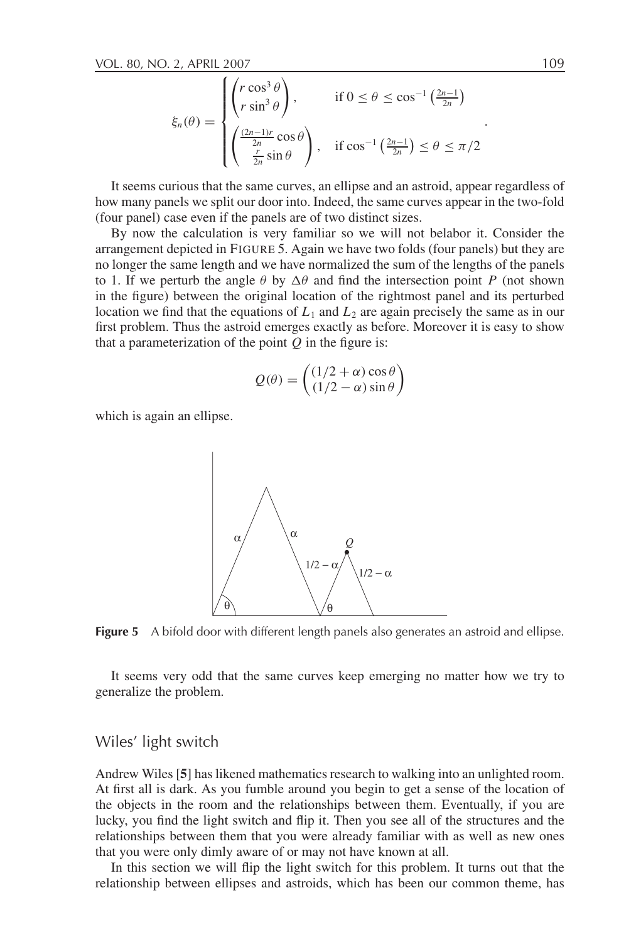$$
\xi_n(\theta) = \begin{cases} \left(r \cos^3 \theta\right), & \text{if } 0 \le \theta \le \cos^{-1}\left(\frac{2n-1}{2n}\right) \\ \left(\frac{(2n-1)r}{2n} \cos \theta\right), & \text{if } \cos^{-1}\left(\frac{2n-1}{2n}\right) \le \theta \le \pi/2 \\ \frac{r}{2n} \sin \theta \end{cases}
$$

It seems curious that the same curves, an ellipse and an astroid, appear regardless of how many panels we split our door into. Indeed, the same curves appear in the two-fold (four panel) case even if the panels are of two distinct sizes.

By now the calculation is very familiar so we will not belabor it. Consider the arrangement depicted in FIGURE 5. Again we have two folds (four panels) but they are no longer the same length and we have normalized the sum of the lengths of the panels to 1. If we perturb the angle  $\theta$  by  $\Delta\theta$  and find the intersection point *P* (not shown in the figure) between the original location of the rightmost panel and its perturbed location we find that the equations of  $L_1$  and  $L_2$  are again precisely the same as in our first problem. Thus the astroid emerges exactly as before. Moreover it is easy to show that a parameterization of the point  $Q$  in the figure is:

$$
Q(\theta) = \begin{pmatrix} (1/2 + \alpha) \cos \theta \\ (1/2 - \alpha) \sin \theta \end{pmatrix}
$$

which is again an ellipse.



**Figure 5** A bifold door with different length panels also generates an astroid and ellipse.

It seems very odd that the same curves keep emerging no matter how we try to generalize the problem.

### Wiles' light switch

Andrew Wiles [**5**] has likened mathematics research to walking into an unlighted room. At first all is dark. As you fumble around you begin to get a sense of the location of the objects in the room and the relationships between them. Eventually, if you are lucky, you find the light switch and flip it. Then you see all of the structures and the relationships between them that you were already familiar with as well as new ones that you were only dimly aware of or may not have known at all.

In this section we will flip the light switch for this problem. It turns out that the relationship between ellipses and astroids, which has been our common theme, has

.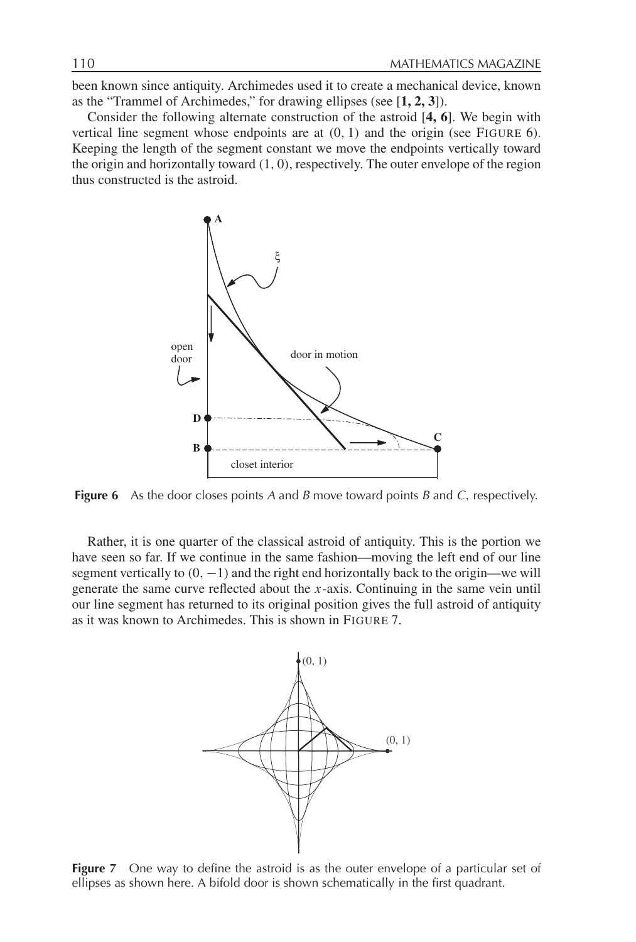been known since antiquity. Archimedes used it to create a mechanical device, known as the "Trammel of Archimedes," for drawing ellipses (see [**1, 2, 3**]).

Consider the following alternate construction of the astroid [**4, 6**]. We begin with vertical line segment whose endpoints are at (0, 1) and the origin (see FIGURE 6). Keeping the length of the segment constant we move the endpoints vertically toward the origin and horizontally toward  $(1, 0)$ , respectively. The outer envelope of the region thus constructed is the astroid.



**Figure 6** As the door closes points A and B move toward points B and C, respectively.

Rather, it is one quarter of the classical astroid of antiquity. This is the portion we have seen so far. If we continue in the same fashion—moving the left end of our line segment vertically to  $(0, -1)$  and the right end horizontally back to the origin—we will generate the same curve reflected about the *x*-axis. Continuing in the same vein until our line segment has returned to its original position gives the full astroid of antiquity as it was known to Archimedes. This is shown in FIGURE 7.



**Figure 7** One way to define the astroid is as the outer envelope of a particular set of ellipses as shown here. A bifold door is shown schematically in the first quadrant.